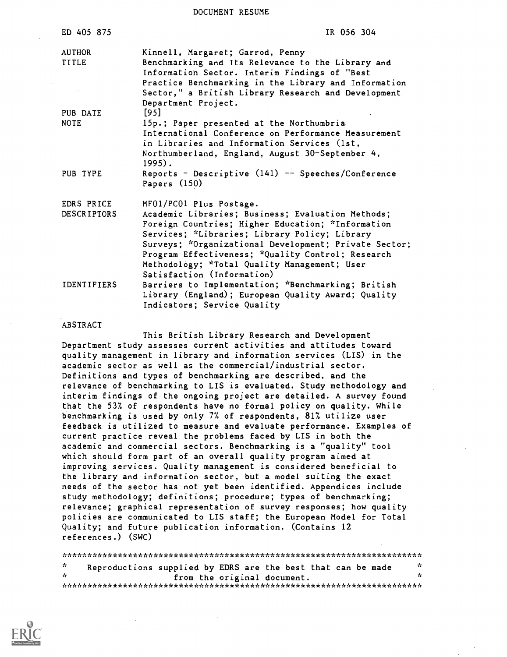DOCUMENT RESUME

| ED 405 875                       | IR 056 304                                                                                                                                                                                                                                                                                                                                                                     |
|----------------------------------|--------------------------------------------------------------------------------------------------------------------------------------------------------------------------------------------------------------------------------------------------------------------------------------------------------------------------------------------------------------------------------|
| AUTHOR<br>TITLE                  | Kinnell, Margaret; Garrod, Penny<br>Benchmarking and Its Relevance to the Library and<br>Information Sector. Interim Findings of "Best<br>Practice Benchmarking in the Library and Information<br>Sector," a British Library Research and Development<br>Department Project.                                                                                                   |
| PUB DATE<br><b>NOTE</b>          | [95]<br>15p.; Paper presented at the Northumbria<br>International Conference on Performance Measurement<br>in Libraries and Information Services (1st,<br>Northumberland, England, August 30-September 4,<br>$1995$ .                                                                                                                                                          |
| PUB TYPE                         | Reports - Descriptive $(141)$ -- Speeches/Conference<br>Papers $(150)$                                                                                                                                                                                                                                                                                                         |
| EDRS PRICE<br><b>DESCRIPTORS</b> | MF01/PC01 Plus Postage.<br>Academic Libraries; Business; Evaluation Methods;<br>Foreign Countries; Higher Education; *Information<br>Services; *Libraries; Library Policy; Library<br>Surveys; *Organizational Development; Private Sector;<br>Program Effectiveness; *Quality Control; Research<br>Methodology; *Total Quality Management; User<br>Satisfaction (Information) |
| <b>IDENTIFIERS</b>               | Barriers to Implementation; *Benchmarking; British<br>Library (England); European Quality Award; Quality<br>Indicators; Service Quality                                                                                                                                                                                                                                        |

#### ABSTRACT

This British Library Research and Development Department study assesses current activities and attitudes toward quality management in library and information services (LIS) in the academic sector as well as the commercial/industrial sector. Definitions and types of benchmarking are described, and the relevance of benchmarking to LIS is evaluated. Study methodology and interim findings of the ongoing project are detailed. A survey found that the 537. of respondents have no formal policy on quality. While benchmarking is used by only 7% of respondents, 81% utilize user feedback is utilized to measure and evaluate performance. Examples of current practice reveal the problems faced by LIS in both the academic and commercial sectors. Benchmarking is a "quality" tool which should form part of an overall quality program aimed at improving services. Quality management is considered beneficial to the library and information sector, but a model suiting the exact needs of the sector has not yet been identified. Appendices include study methodology; definitions; procedure; types of benchmarking; relevance; graphical representation of survey responses; how quality policies are communicated to LIS staff; the European Model for Total Quality; and future publication information. (Contains 12 references.) (SWC)

\*\*\*\*\*\*\*\*\*\*\*\*\*\*\*\*\*\*\*\*\*\*\*\*\*\*\*\*\*\*\*\*\*\*\*\*\*\*\*\*\*\*\*\*\*\*\*\*\*\*\*\*\*\*\*\*\*\*\*\*\*\*\*\*\*\*\*\*\*\*\* \* Reproductions supplied by EDRS are the best that can be made \* from the original document. \*\*\*\*\*\*\*\*\*\*\*\*\*\*\*\*\*\*\*\*\*\*\*\*\*\*\*\*\*\*\*\*\*\*\*\*\*\*\*\*\*\*\*\*\*\*\*\*\*\*\*\*\*\*\*\*\*\*\*\*\*\*\*\*\*\*\*\*\*\*\*

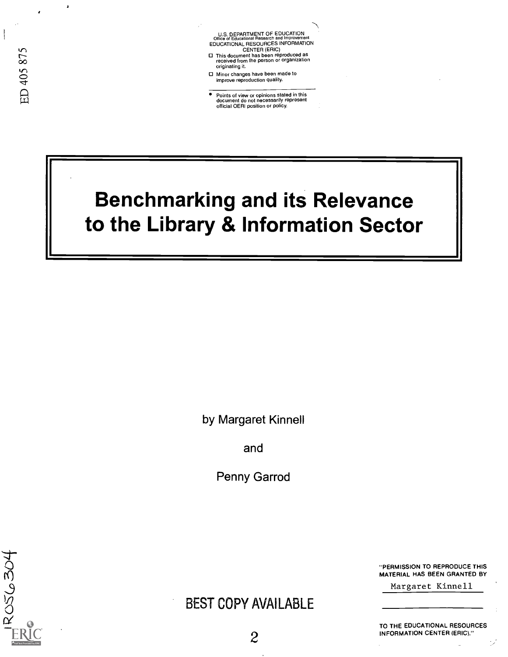U.S. DEPARTMENT OF EDUCATION<br>Office of Educational Research and Improveme Office of Educational Research and Improvement<br>EDUCATIONAL RESOURCES INFORMATION<br>
CENTER (ERIC)<br>
This document has been reproduced as<br>
received from the person or organization<br>
originating it.

- 
- Minor changes have been made to improve reproduction quality.
- Points of view or opinions stated in this document do not necessarily represent official OERI position or policy.

# Benchmarking and its Relevance to the Library & Information Sector

by Margaret Kinnell

and

Penny Garrod

ROS6304

# BEST COPY AVAILABLE

"PERMISSION TO REPRODUCE THIS MATERIAL HAS BEEN GRANTED BY

Margaret Kinnell

TO THE EDUCATIONAL RESOURCES INFORMATION CENTER (ERIC)."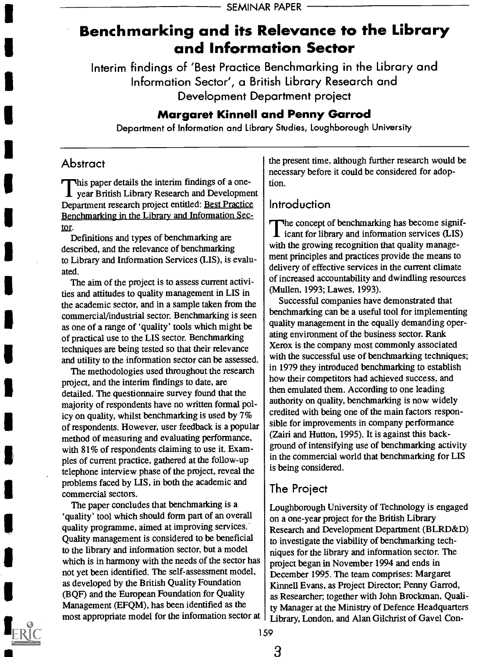# Benchmarking and its Relevance to the Library and Information Sector

Interim findings of 'Best Practice Benchmarking in the Library and Information Sector', a British Library Research and Development Department project

## Margaret Kinnell and Penny Garrod

Department of Information and Library Studies, Loughborough University

#### Abstract

This paper details the interim findings of a one- $\mathbf I$  year British Library Research and Development Department research project entitled: Best Practice Benchmarking in the Library and Information Sector.

Definitions and types of benchmarking are described, and the relevance of benchmarking to Library and Information Services (LIS), is evaluated.

The aim of the project is to assess current activities and attitudes to quality management in LIS in the academic sector, and in a sample taken from the commercial/industrial sector. Benchmarking is seen as one of a range of 'quality' tools which might be of practical use to the LIS sector. Benchmarking techniques are being tested so that their relevance and utility to the information sector can be assessed.

The methodologies used throughout the research project, and the interim findings to date, are detailed. The questionnaire survey found that the majority of respondents have no written formal policy on quality, whilst benchmarking is used by 7% of respondents. However, user feedback is a popular method of measuring and evaluating performance, with 81% of respondents claiming to use it. Examples of current practice, gathered at the follow-up telephone interview phase of the project, reveal the problems faced by LIS, in both the academic and commercial sectors.

The paper concludes that benchmarking is a `quality' tool which should form part of an overall quality programme, aimed at improving services. Quality management is considered to be beneficial to the library and information sector, but a model which is in harmony with the needs of the sector has not yet been identified. The self-assessment model, as developed by the British Quality Foundation (BQF) and the European Foundation for Quality Management (EFQM), has been identified as the most appropriate model for the information sector at the present time, although further research would be necessary before it could be considered for adoption.

## Introduction

The concept of benchmarking has become signif-I icant for library and information services (LIS) with the growing recognition that quality management principles and practices provide the means to delivery of effective services in the current climate of increased accountability and dwindling resources (Mullen, 1993; Lawes, 1993).

Successful companies have demonstrated that benchmarking can be a useful tool for implementing quality management in the equally demanding operating environment of the business sector. Rank Xerox is the company most commonly associated with the successful use of benchmarking techniques; in 1979 they introduced benchmarking to establish how their competitors had achieved success, and then emulated them. According to one leading authority on quality, benchmarking is now widely credited with being one of the main factors responsible for improvements in company performance (Zairi and Hutton, 1995). It is against this background of intensifying use of benchmarking activity in the commercial world that benchmarking for LIS is being considered.

# The Project

Loughborough University of Technology is engaged on a one-year project for the British Library Research and Development Department (BLRD&D) to investigate the viability of benchmarking techniques for the library and information sector. The project began in November 1994 and ends in December 1995. The team comprises: Margaret Kinnell Evans, as Project Director, Penny Garrod, as Researcher; together with John Brockman, Quality Manager at the Ministry of Defence Headquarters Library, London, and Alan Gilchrist of Gavel Con-

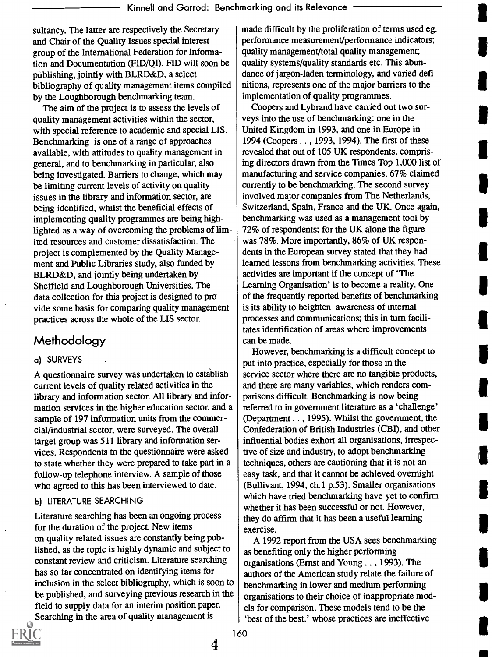sultancy. The latter are respectively the Secretary and Chair of the Quality Issues special interest group of the International Federation for Information and Documentation (FID/QI). FID will soon be publishing, jointly with BLRD&D, a select bibliography of quality management items compiled by the Loughborough benchmarking team.

The aim of the project is to assess the levels of quality management activities within the sector, with special reference to academic and special LIS. Benchmarking is one of a range of approaches available, with attitudes to quality management in general, and to benchmarking in particular, also being investigated. Barriers to change, which may be limiting current levels of activity on quality issues in the library and information sector, are being identified, whilst the beneficial effects of implementing quality programmes are being highlighted as a way of overcoming the problems of limited resources and customer dissatisfaction. The project is complemented by the Quality Management and Public Libraries study, also funded by BLRD&D, and jointly being undertaken by Sheffield and Loughborough Universities. The data collection for this project is designed to pmvide some basis for comparing quality management practices across the whole of the LIS sector.

## Methodology

#### a) SURVEYS

A questionnaire survey was undertaken to establish current levels of quality related activities in the library and information sector. All library and information services in the higher education sector, and a sample of 197 information units from the commercial/industrial sector, were surveyed. The overall target group was 511 library and information services. Respondents to the questionnaire were asked to state whether they were prepared to take part in a follow-up telephone interview. A sample of those who agreed to this has been interviewed to date.

#### b) LITERATURE SEARCHING

Literature searching has been an ongoing process for the duration of the project. New items on quality related issues are constantly being published, as the topic is highly dynamic and subject to constant review and criticism. Literature searching has so far concentrated on identifying items for inclusion in the select bibliography, which is soon to be published, and surveying previous research in the field to supply data for an interim position paper. Searching in the area of quality management is



Coopers and Lybrand have carried out two surveys into the use of benchmarking: one in the United Kingdom in 1993, and one in Europe in 1994 (Coopers . . , 1993, 1994). The first of these revealed that out of 105 UK respondents, comprising directors drawn from the Times Top 1,000 list of manufacturing and service companies, 67% claimed currently to be benchmarking. The second survey involved major companies from The Netherlands, Switzerland, Spain, France and the UK. Once again, benchmarking was used as a management tool by 72% of respondents; for the UK alone the figure was 78%. More importantly, 86% of UK respondents in the European survey stated that they had learned lessons from benchmarking activities. These activities are important if the concept of 'The Learning Organisation' is to become a reality. One of the frequently reported benefits of benchmarking is its ability to heighten awareness of internal processes and communications; this in turn facilitates identification of areas where improvements can be made.

However, benchmarking is a difficult concept to put into practice, especially for those in the service sector where there are no tangible products, and there are many variables, which renders comparisons difficult. Benchmarking is now being referred to in government literature as a 'challenge' (Department . . , 1995). Whilst the government, the Confederation of British Industries (CBI), and other influential bodies exhort all organisations, irrespective of size and industry, to adopt benchmarking techniques, others are cautioning that it is not an easy task, and that it cannot be achieved overnight (Bullivant, 1994, ch.1 p.53). Smaller organisations which have tried benchmarking have yet to confirm whether it has been successful or not. However, they do affirm that it has been a useful learning exercise.

A 1992 report from the USA sees benchmarking as benefiting only the higher performing organisations (Ernst and Young . . , 1993). The authors of the American study relate the failure of benchmarking in lower and medium performing organisations to their choice of inappropriate models for comparison. These models tend to be the `best of the best,' whose practices are ineffective



 $\boldsymbol{4}$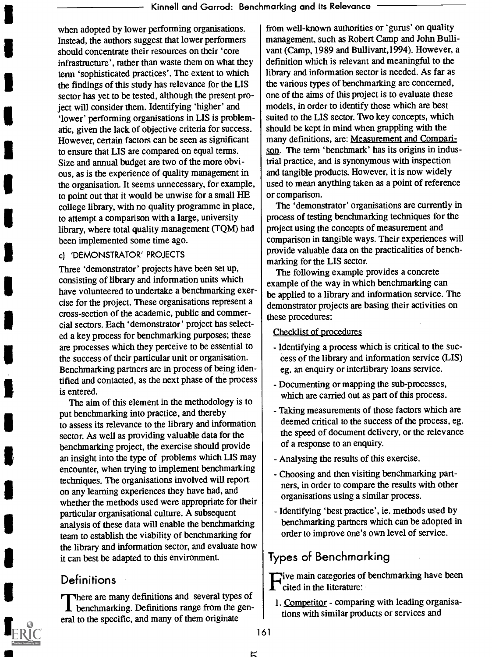when adopted by lower performing organisations. Instead, the authors suggest that lower performers should concentrate their resources on their 'core infrastructure', rather than waste them on what they term 'sophisticated practices'. The extent to which the findings of this study has relevance for the LIS sector has yet to be tested, although the present project will consider them. Identifying 'higher' and `lower' performing organisations in LIS is problematic, given the lack of objective criteria for success. However, certain factors can be seen as significant to ensure that LIS are compared on equal terms. Size and annual budget are two of the more obvious, as is the experience of quality management in the organisation. It seems unnecessary, for example, to point out that it would be unwise for a small HE college library, with no quality programme in place, to attempt a comparison with a large, university library, where total quality management (TQM) had been implemented some time ago.

#### c) 'DEMONSTRATOR' PROJECTS

Three 'demonstrator' projects have been set up, consisting of library and information units which have volunteered to undertake a benchmarking exercise for the project. These organisations represent a cross-section of the academic, public and commercial sectors. Each 'demonstrator' project has selected a key process for benchmarking purposes; these are processes which they perceive to be essential to the success of their particular unit or organisation. Benchmarking partners are in process of being identified and contacted, as the next phase of the process is entered.

The aim of this element in the methodology is to put benchmarking into practice, and thereby to assess its relevance to the library and information sector. As well as providing valuable data for the benchmarking project, the exercise should provide an insight into the type of problems which LIS may encounter, when trying to implement benchmarking techniques. The organisations involved will report on any learning experiences they have had, and whether the methods used were appropriate for their particular organisational culture. A subsequent analysis of these data will enable the benchmarking team to establish the viability of benchmarking for the library and information sector, and evaluate how it can best be adapted to this environment.

#### **Definitions**

There are many definitions and several types of  $\blacksquare$  benchmarking. Definitions range from the general to the specific, and many of them originate

from well-known authorities or 'gurus' on quality management, such as Robert Camp and John Bullivant (Camp, 1989 and Bullivant,1994). However, a definition which is relevant and meaningful to the library and information sector is needed. As far as the various types of benchmarking are concerned, one of the aims of this project is to evaluate these models, in order to identify those which are best suited to the LIS sector. Two key concepts, which should be kept in mind when grappling with the many definitions, are: Measurement and Comparison. The term 'benchmark' has its origins in industrial practice, and is synonymous with inspection and tangible products. However, it is now widely used to mean anything taken as a point of reference or comparison.

The 'demonstrator' organisations are currently in process of testing benchmarking techniques for the project using the concepts of measurement and comparison in tangible ways. Their experiences will provide valuable data on the practicalities of benchmarking for the LIS sector.

The following example provides a concrete example of the way in which benchmarking can be applied to a library and information service. The demonstrator projects are basing their activities on these procedures:

#### Checklist of procedures

- Identifying a process which is critical to the success of the library and information service (LIS) eg. an enquiry or interlibrary loans service.
- Documenting or mapping the sub-processes, which are carried out as part of this process.
- Taking measurements of those factors which are deemed critical to the success of the process, eg. the speed of document delivery, or the relevance of a response to an enquiry.
- Analysing the results of this exercise.
- Choosing and then visiting benchmarking partners, in order to compare the results with other organisations using a similar process.
- Identifying 'best practice', ie. methods used by benchmarking partners which can be adopted in order to improve one's own level of service.

## Types of Benchmarking

**Tive main categories of benchmarking have been** 'cited in the literature:

- 1. Competitor comparing with leading organisations with similar products or services and
- 161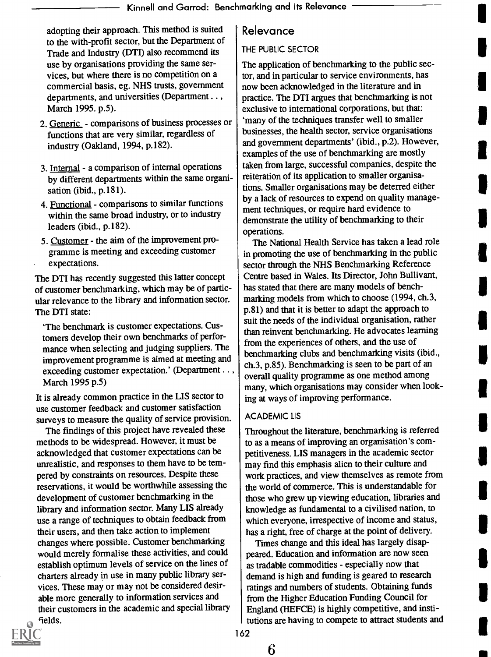adopting their approach. This method is suited to the with-profit sector, but the Department of Trade and Industry (DTI) also recommend its use by organisations providing the same services, but where there is no competition on a commercial basis, eg. NHS trusts, government departments, and universities (Department . . , March 1995. p.5).

- 2. Generic comparisons of business processes or functions that are very similar, regardless of industry (Oakland, 1994, p.182).
- 3. Internal a comparison of internal operations by different departments within the same organisation (ibid., p.181).
- 4. Functional comparisons to similar functions within the same broad industry, or to industry leaders (ibid., p.182).
- 5. Customer the aim of the improvement programme is meeting and exceeding customer expectations.

The DTI has recently suggested this latter concept of customer benchmarking, which may be of particular relevance to the library and information sector. The DTI state:

`The benchmark is customer expectations. Customers develop their own benchmarks of performance when selecting and judging suppliers. The improvement programme is aimed at meeting and exceeding customer expectation.' (Department . . , March 1995 p.5)

It is already common practice in the LIS sector to use customer feedback and customer satisfaction surveys to measure the quality of service provision.

The findings of this project have revealed these methods to be widespread. However, it must be acknowledged that customer expectations can be unrealistic, and responses to them have to be tempered by constraints on resources. Despite these reservations, it would be worthwhile assessing the development of customer benchmarking in the library and information sector. Many LIS already use a range of techniques to obtain feedback from their users, and then take action to implement changes where possible. Customer benchmarking would merely formalise these activities, and could establish optimum levels of service on the lines of charters already in use in many public library services. These may or may not be considered desirable more generally to information services and their customers in the academic and special library

# fields.

## Relevance

#### THE PUBLIC SECTOR

The application of benchmarking to the public sector, and in particular to service environments, has now been acknowledged in the literature and in practice. The DTI argues that benchmarking is not exclusive to international corporations, but that: `many of the techniques transfer well to smaller businesses, the health sector, service organisations and government departments' (ibid., p.2). However, examples of the use of benchmarking are mostly taken from large, successful companies, despite the reiteration of its application to smaller organisations. Smaller organisations may be deterred either by a lack of resources to expend on quality management techniques, or require hard evidence to demonstrate the utility of benchmarking to their operations.

The National Health Service has taken a lead role in promoting the use of benchmarking in the public sector through the NHS Benchmarking Reference Centre based in Wales. Its Director, John Bullivant, has stated that there are many models of benchmarking models from which to choose (1994, ch.3, p.81) and that it is better to adapt the approach to suit the needs of the individual organisation, rather than reinvent benchmarking. He advocates learning from the experiences of others, and the use of benchmarking clubs and benchmarking visits (ibid., ch.3, p.85). Benchmarking is seen to be part of an overall quality programme as one method among many, which organisations may consider when looking at ways of improving performance.

#### ACADEMIC LIS

Throughout the literature, benchmarking is referred to as a means of improving an organisation's competitiveness. LIS managers in the academic sector may find this emphasis alien to their culture and work practices, and view themselves as remote from the world of commerce. This is understandable for those who grew up viewing education, libraries and knowledge as fundamental to a civilised nation, to which everyone, irrespective of income and status, has a right, free of charge at the point of delivery.

Times change and this ideal has largely disappeared. Education and information are now seen as tradable commodities - especially now that demand is high and funding is geared to research ratings and numbers of students. Obtaining funds from the Higher Education Funding Council for England (HEFCE) is highly competitive, and institutions are having to compete to attract students and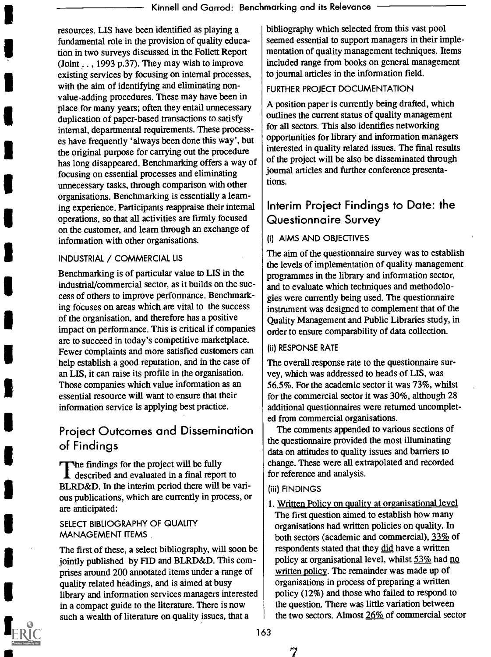resources. LIS have been identified as playing a fundamental role in the provision of quality education in two surveys discussed in the Follett Report (Joint  $\ldots$ , 1993 p.37). They may wish to improve existing services by focusing on internal processes, with the aim of identifying and eliminating nonvalue-adding procedures. These may have been in place for many years; often they entail unnecessary duplication of paper-based transactions to satisfy internal, departmental requirements. These processes have frequently 'always been done this way', but the original purpose for carrying out the procedure has long disappeared. Benchmarking offers a way of focusing on essential processes and eliminating unnecessary tasks, through comparison with other organisations. Benchmarking is essentially a learning experience. Participants reappraise their internal operations, so that all activities are firmly focused on the customer, and learn through an exchange of information with other organisations.

#### INDUSTRIAL / COMMERCIAL LIS

Benchmarking is of particular value to LIS in the industrial/commercial sector, as it builds on the success of others to improve performance. Benchmarking focuses on areas which are vital to the success of the organisation, and therefore has a positive impact on performance. This is critical if companies are to succeed in today's competitive marketplace. Fewer complaints and more satisfied customers can help establish a good reputation, and in the case of an LIS, it can raise its profile in the organisation. Those companies which value information as an essential resource will want to ensure that their information service is applying best practice.

# Project Outcomes and Dissemination of Findings

The findings for the project will be fully described and evaluated in a final report to BLRD&D. In the interim period there will be various publications, which are currently in process, or are anticipated:

#### SELECT BIBLIOGRAPHY OF QUALITY MANAGEMENT ITEMS

The first of these, a select bibliography, will soon be jointly published by FID and BLRD&D. This comprises around 200 annotated items under a range of quality related headings, and is aimed at busy library and information services managers interested in a compact guide to the literature. There is now such a wealth of literature on quality issues, that a

bibliography which selected from this vast pool seemed essential to support managers in their implementation of quality management techniques. Items included range from books on general management to journal articles in the information field.

#### FURTHER PROJECT DOCUMENTATION

A position paper is currently being drafted, which outlines the current status of quality management for all sectors. This also identifies networking opportunities for library and information managers interested in quality related issues. The final results of the project will be also be disseminated through journal articles and further conference presentations.

## Interim Project Findings to Date: the Questionnaire Survey

#### (i) AIMS AND OBJECTIVES

The aim of the questionnaire survey was to establish the levels of implementation of quality management programmes in the library and information sector, and to evaluate which techniques and methodologies were currently being used. The questionnaire instrument was designed to complement that of the Quality Management and Public Libraries study, in order to ensure comparability of data collection.

#### (ii) RESPONSE RATE

The overall response rate to the questionnaire survey, which was addressed to heads of LIS, was 56.5%. For the academic sector it was 73%, whilst for the commercial sector it was 30%, although 28 additional questionnaires were returned uncompleted from commercial organisations.

The comments appended to various sections of the questionnaire provided the most illuminating data on attitudes to quality issues and barriers to change. These were all extrapolated and recorded for reference and analysis.

#### (iii) FINDINGS

1. Written Policy on quality at organisational level The first question aimed to establish how many organisations had written policies on quality. In both sectors (academic and commercial), 33% of respondents stated that they did have a written policy at organisational level, whilst 53% had no written policy. The remainder was made up of organisations in process of preparing a written policy (12%) and those who failed to respond to the question. There was little variation between the two sectors. Almost 26% of commercial sector

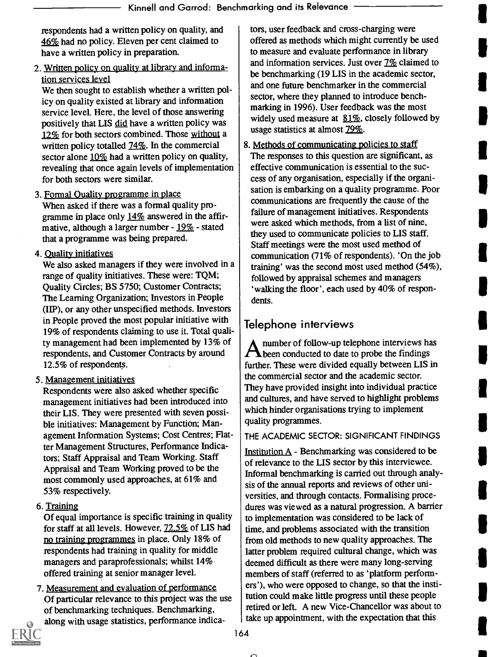respondents had a written policy on quality, and 46% had no policy. Eleven per cent claimed to have a written policy in preparation.

2. Written policy on quality at library and information services level

We then sought to establish whether a written policy on quality existed at library and information service level. Here, the level of those answering positively that LIS did have a written policy was 12% for both sectors combined. Those without a written policy totalled 74\%. In the commercial sector alone  $10\%$  had a written policy on quality, revealing that once again levels of implementation for both sectors were similar.

- 3. Formal Quality programme in place When asked if there was a formal quality programme in place only 14% answered in the affirmative, although a larger number - 19% - stated that a programme was being prepared.
- 4. Quality initiatives

We also asked managers if they were involved in a range of quality initiatives. These were: TQM; Quality Circles; BS 5750; Customer Contracts; The Learning Organization; Investors in People (I1P), or any other unspecified methods. Investors in People proved the most popular initiative with 19% of respondents claiming to use it. Total quality management had been implemented by 13% of respondents, and Customer Contracts by around 12.5% of respondents.

5. Management initiatives

Respondents were also asked whether specific management initiatives had been introduced into their LIS. They were presented with seven possible initiatives: Management by Function; Management Information Systems; Cost Centres; Flatter Management Structures, Performance Indicators; Staff Appraisal and Team Working. Staff Appraisal and Team Working proved to be the most commonly used approaches, at 61% and 53% respectively.

6. Training

Of equal importance is specific training in quality for staff at all levels. However, 72.5% of LIS had no training programmes in place. Only 18% of respondents had training in quality for middle managers and paraprofessionals; whilst 14% offered training at senior manager level.

7. Measurement and evaluation of performance Of particular relevance to this project was the use of benchmarking techniques. Benchmarking, along with usage statistics, performance indica-



tors, user feedback and cross-charging were offered as methods which might currently be used to measure and evaluate performance in library and information services. Just over  $7\%$  claimed to be benchmarking (19 LIS in the academic sector, and one future benchmarker in the commercial sector, where they planned to introduce benchmarking in 1996). User feedback was the most widely used measure at  $81\%$ , closely followed by usage statistics at almost  $79\%$ .

8. Methods of communicating policies to staff The responses to this question are significant, as effective communication is essential to the success of any organisation, especially if the organisation is embarking on a quality programme. Poor communications are frequently the cause of the failure of management initiatives. Respondents were asked which methods, from a list of nine, they used to communicate policies to LIS staff. Staff meetings were the most used method of communication (71% of respondents). 'On the job training' was the second most used method (54%), followed by appraisal schemes and managers `walking the floor', each used by 40% of respondents.

# Telephone interviews

number of follow-up telephone interviews has  $\Lambda$ been conducted to date to probe the findings further. These were divided equally between LIS in the commercial sector and the academic sector. They have provided insight into individual practice and cultures, and have served to highlight problems which hinder organisations trying to implement quality programmes.

#### THE ACADEMIC SECTOR: SIGNIFICANT FINDINGS

Institution A - Benchmarking was considered to be of relevance to the LIS sector by this interviewee. Informal benchmarking is carried out through analysis of the annual reports and reviews of other universities, and through contacts. Formalising procedures was viewed as a natural progression. A barrier to implementation was considered to be lack of time, and problems associated with the transition from old methods to new quality approaches. The latter problem required cultural change, which was deemed difficult as there were many long-serving members of staff (referred to as 'platform performers'), who were opposed to change, so that the institution could make little progress until these people retired or left. A new Vice-Chancellor was about to take up appointment, with the expectation that this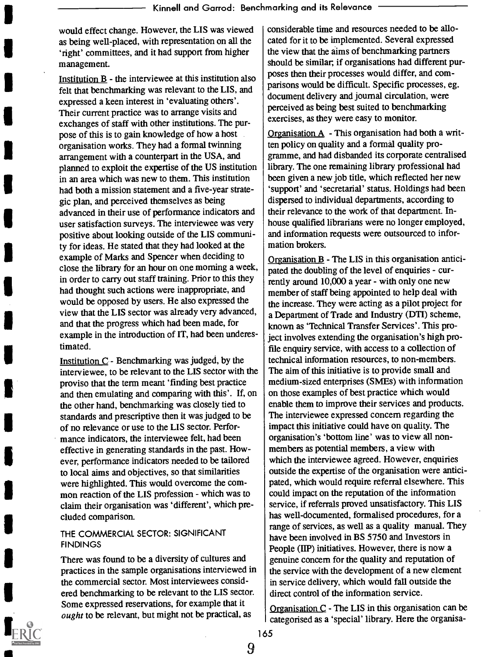would effect change. However, the LIS was viewed as being well-placed, with representation on all the `right' committees, and it had support from higher management.

Institution  $B$  - the interviewee at this institution also felt that benchmarking was relevant to the LIS, and expressed a keen interest in 'evaluating others'. Their current practice was to arrange visits and exchanges of staff with other institutions. The purpose of this is to gain knowledge of how a host organisation works. They had a formal twinning arrangement with a counterpart in the USA, and planned to exploit the expertise of the US institution in an area which was new to them. This institution had both a mission statement and a five-year strategic plan, and perceived themselves as being advanced in their use of performance indicators and user satisfaction surveys. The interviewee was very positive about looking outside of the LIS community for ideas. He stated that they had looked at the example of Marks and Spencer when deciding to close the library for an hour on one morning a week, in order to carry out staff training. Prior to this they had thought such actions were inappropriate, and would be opposed by users. He also expressed the view that the LIS sector was already very advanced, and that the progress which had been made, for example in the introduction of IT, had been underestimated.

Institution C - Benchmarking was judged, by the interviewee, to be relevant to the LIS sector with the proviso that the term meant 'finding best practice and then emulating and comparing with this'. If, on the other hand, benchmarking was closely tied to standards and prescriptive then it was judged to be of no relevance or use to the LIS sector. Performance indicators, the interviewee felt, had been effective in generating standards in the past. However, performance indicators needed to be tailored to local aims and objectives, so that similarities were highlighted. This would overcome the common reaction of the LIS profession - which was to claim their organisation was 'different', which precluded comparison.

#### THE COMMERCIAL SECTOR: SIGNIFICANT **FINDINGS**

There was found to be a diversity of cultures and practices in the sample organisations interviewed in the commercial sector. Most interviewees considered benchmarking to be relevant to the LIS sector. Some expressed reservations, for example that it ought to be relevant, but might not be practical, as



Organisation  $A$  - This organisation had both a written policy on quality and a formal quality programme, and had disbanded its corporate centralised library. The one remaining library professional had been given a new job title, which reflected her new `support' and 'secretarial' status. Holdings had been dispersed to individual departments, according to their relevance to the work of that department. Inhouse qualified librarians were no longer employed, and information requests were outsourced to information brokers.

Organisation B - The LIS in this organisation anticipated the doubling of the level of enquiries - currently around 10,000 a year - with only one new member of staff being appointed to help deal with the increase. They were acting as a pilot project for a Department of Trade and Industry (DTI) scheme, known as 'Technical Transfer Services'. This project involves extending the organisation's high profile enquiry service, with access to a collection of technical information resources, to non-members. The aim of this initiative is to provide small and medium-sized enterprises (SMEs) with information on those examples of best practice which would enable them to improve their services and products. The interviewee expressed concern regarding the impact this initiative could have on quality. The organisation's 'bottom line' was to view all nonmembers as potential members, a view with which the interviewee agreed. However, enquiries outside the expertise of the organisation were anticipated, which would require referral elsewhere. This could impact on the reputation of the information service, if referrals proved unsatisfactory. This LIS has well-documented, formalised procedures, for a range of services, as well as a quality manual. They have been involved in BS 5750 and Investors in People (IIP) initiatives. However, there is now a genuine concern for the quality and reputation of the service with the development of a new element in service delivery, which would fall outside the direct control of the information service.

Organisation  $C$  - The LIS in this organisation can be categorised as a 'special' library. Here the organisa-

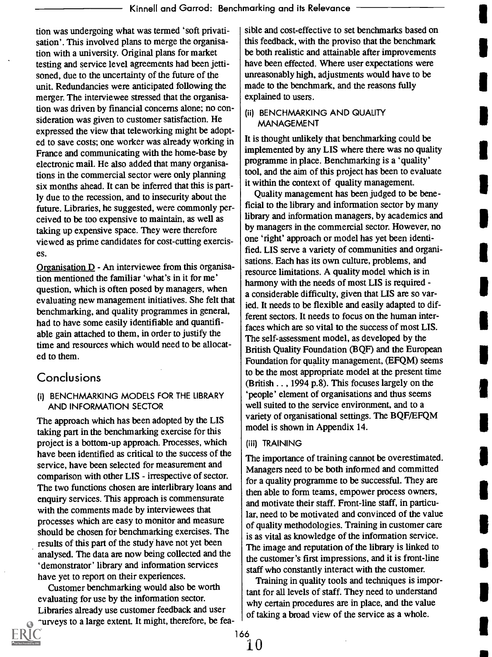tion was undergoing what was termed 'soft privatisation'. This involved plans to merge the organisation with a university. Original plans for market testing and service level agreements had been jettisoned, due to the uncertainty of the future of the unit. Redundancies were anticipated following the merger. The interviewee stressed that the organisation was driven by financial concerns alone; no consideration was given to customer satisfaction. He expressed the view that teleworking might be adopted to save costs; one worker was already working in France and communicating with the home-base by electronic mail. He also added that many organisations in the commercial sector were only planning six months ahead. It can be inferred that this is partly due to the recession, and to insecurity about the future. Libraries, he suggested, were commonly perceived to be too expensive to maintain, as well as taking up expensive space. They were therefore viewed as prime candidates for cost-cutting exercises.

Organisation D - An interviewee from this organisation mentioned the familiar 'what's in it for me' question, which is often posed by managers, when evaluating new management initiatives. She felt that benchmarking, and quality programmes in general, had to have some easily identifiable and quantifiable gain attached to them, in order to justify the time and resources which would need to be allocated to them.

#### Conclusions

#### (i) BENCHMARKING MODELS FOR THE LIBRARY AND INFORMATION SECTOR

The approach which has been adopted by the LIS taking part in the benchmarking exercise for this project is a bottom-up approach. Processes, which have been identified as critical to the success of the service, have been selected for measurement and comparison with other LIS - irrespective of sector. The two functions chosen are interlibrary loans and enquiry services. This approach is commensurate with the comments made by interviewees that processes which are easy to monitor and measure should be chosen for benchmarking exercises. The results of this part of the study have not yet been analysed. The data are now being collected and the `demonstrator' library and information services have yet to report on their experiences.

Customer benchmarking would also be worth evaluating for use by the information sector. Libraries already use customer feedback and user purveys to a large extent. It might, therefore, be feasible and cost-effective to set benchmarks based on this feedback, with the proviso that the benchmark be both realistic and attainable after improvements have been effected. Where user expectations were unreasonably high, adjustments would have to be made to the benchmark, and the reasons fully explained to users.

#### (ii) BENCHMARKING AND QUALITY MANAGEMENT

It is thought unlikely that benchmarking could be implemented by any LIS where there was no quality programme in place. Benchmarking is a 'quality' tool, and the aim of this project has been to evaluate it within the context of quality management.

Quality management has been judged to be beneficial to the library and information sector by many library and information managers, by academics and by managers in the commercial sector. However, no one `right' approach or model has yet been identified. LIS serve a variety of communities and organisations. Each has its own culture, problems, and resource limitations. A quality model which is in harmony with the needs of most LIS is required a considerable difficulty, given that LIS are so varied. It needs to be flexible and easily adapted to different sectors. It needs to focus on the human interfaces which are so vital to the success of most LIS. The self-assessment model, as developed by the British Quality Foundation (BQF) and the European Foundation for quality management, (EFQM) seems to be the most appropriate model at the present time (British . . , 1994 p.8). This focuses largely on the `people' element of organisations and thus seems well suited to the service environment, and to a variety of organisational settings. The BQF/EFQM model is shown in Appendix 14.

#### (iii) TRAINING

The importance of training cannot be overestimated. Managers need to be both informed and committed for a quality programme to be successful. They are then able to form teams, empower process owners, and motivate their staff. Front-line staff, in particular, need to be motivated and convinced of the value of quality methodologies. Training in customer care is as vital as knowledge of the information service. The image and reputation of the library is linked to the customer's first impressions, and it is front-line staff who constantly interact with the customer.

Training in quality tools and techniques is important for all levels of staff. They need to understand why certain procedures are in place, and the value of taking a broad view of the service as a whole.

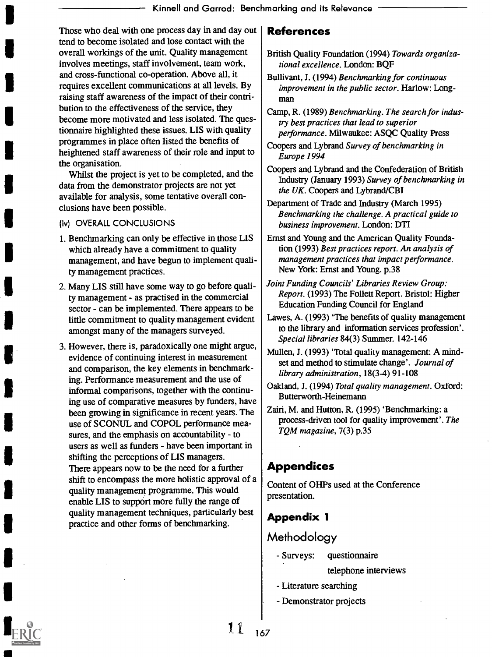Those who deal with one process day in and day out | tend to become isolated and lose contact with the overall workings of the unit. Quality management involves meetings, staff involvement, team work, and cross-functional co-operation. Above all, it requires excellent communications at all levels. By raising staff awareness of the impact of their contribution to the effectiveness of the service, they become more motivated and less isolated. The questionnaire highlighted these issues. LIS with quality programmes in place often listed the benefits of heightened staff awareness of their role and input to the organisation.

Whilst the project is yet to be completed, and the data from the demonstrator projects are not yet available for analysis, some tentative overall conclusions have been possible.

#### (iv) OVERALL CONCLUSIONS

- 1. Benchmarking can only be effective in those LIS which already have a commitment to quality management, and have begun to implement quality management practices.
- 2. Many LIS still have some way to go before quality management - as practised in the commercial sector - can be implemented. There appears to be little commitment to quality management evident amongst many of the managers surveyed.
- 3. However, there is, paradoxically one might argue, evidence of continuing interest in measurement and comparison, the key elements in benchmarking. Performance measurement and the use of informal comparisons, together with the continuing use of comparative measures by funders, have been growing in significance in recent years. The use of SCONUL and COPOL performance measures, and the emphasis on accountability - to users as well as funders - have been important in shifting the perceptions of LIS managers. There appears now to be the need for a further shift to encompass the more holistic approval of a quality management programme. This would enable LIS to support more fully the range of quality management techniques, particularly best practice and other forms of benchmarking.

#### References

- British Quality Foundation (1994) Towards organizational excellence. London: BQF
- Bullivant, J. (1994) Benchmarking for continuous improvement in the public sector. Harlow: Longman
- Camp, R. (1989) Benchmarking. The search for industry best practices that lead to superior performance. Milwaukee: ASQC Quality Press
- Coopers and Lybrand Survey of benchmarking in Europe 1994
- Coopers and Lybrand and the Confederation of British Industry (January 1993) Survey of benchmarking in the UK. Coopers and Lybrand/CBI
- Department of Trade and Industry (March 1995) Benchmarking the challenge. A practical guide to business improvement. London: DTI
- Ernst and Young and the American Quality Foundation (1993) Best practices report. An analysis of management practices that impact performance. New York: Ernst and Young. p.38
- Joint Funding Councils' Libraries Review Group: Report. (1993) The Follett Report. Bristol: Higher Education Funding Council for England
- Lawes, A. (1993) 'The benefits of quality management to the library and information services profession'. Special libraries 84(3) Summer. 142-146
- Mullen, J. (1993) 'Total quality management: A mindset and method to stimulate change'. Journal of library administration, 18(3-4) 91-108
- Oakland, J. (1994) Total quality management. Oxford: Butterworth-Heinemann
- Zairi, M. and Hutton, R. (1995) 'Benchmarking: a process-driven tool for quality improvement'. The TQM magazine, 7(3) p.35

## Appendices

Content of OHPs used at the Conference presentation.

#### Appendix 1

### **Methodology**

- Surveys: questionnaire

telephone interviews

- Literature searching
- Demonstrator projects

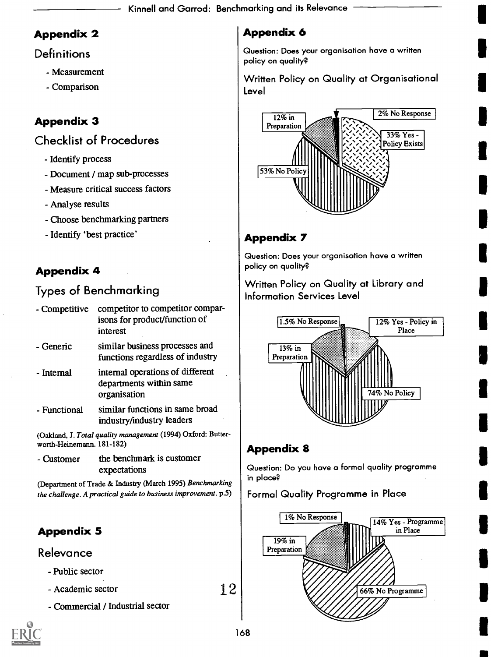# Appendix 2

## **Definitions**

- Measurement
- Comparison

# Appendix 3

# Checklist of Procedures

- Identify process
- Document / map sub-processes
- Measure critical success factors
- Analyse results
- Choose benchmarking partners
- Identify 'best practice'

# Appendix 4

# Types of Benchmarking

| - Competitive | competitor to competitor compar-<br>isons for product/function of<br>interest |  |
|---------------|-------------------------------------------------------------------------------|--|
| - Generic     | similar business processes and<br>functions regardless of industry            |  |
| - Internal    | internal operations of different<br>departments within same<br>organisation   |  |
| - Functional  | similar functions in same broad<br>industry/industry leaders                  |  |

(Oakland, J. Total quality management (1994) Oxford: Butterworth-Heinemann. 181-182)

- Customer the benchmark is customer expectations

(Department of Trade & Industry (March 1995) Benchmarking the challenge. A practical guide to business improvement. p.5)

# Appendix 5

## Relevance

- Public sector
- Academic sector
- Commercial / Industrial sector

# Appendix 6

Question: Does your organisation have a written policy on quality?

Written Policy on Quality at Organisational Level



# Appendix 7

Question: Does your organisation have a written policy on quality?

Written Policy on Quality at Library and Information Services Level



# Appendix 8

Question: Do you hove a formal quality programme in place?

## Formal Quality Programme in Place



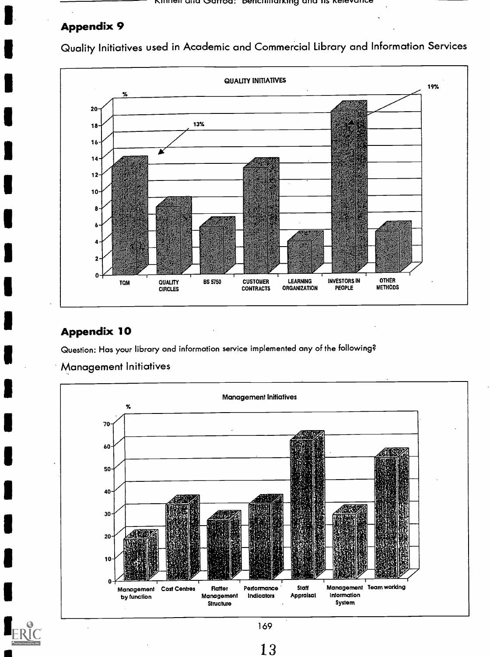#### **Appendix 9**

Quality Initiatives used in Academic and Commercial Library and Informatior



# Appendix 10

Question: Has your library and information service implemented any of the following?

Management Initiatives

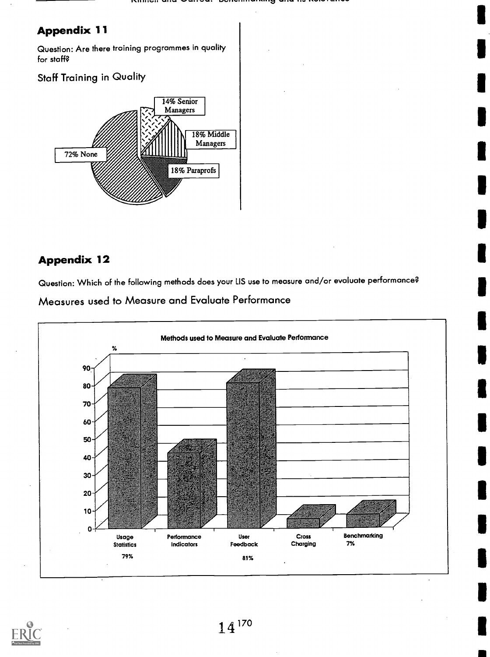$\blacksquare$ 

 $\blacksquare$ 

 $\blacksquare$ 

 $\blacksquare$ 

 $\blacksquare$ 

 $\blacksquare$ 

1

## Appendix 11

Question: Are there training programmes in quality for staff?

#### Staff Training in Quality



## Appendix 12

Question: Which of the following methods does your LIS use to measure and/or evaluate performance?





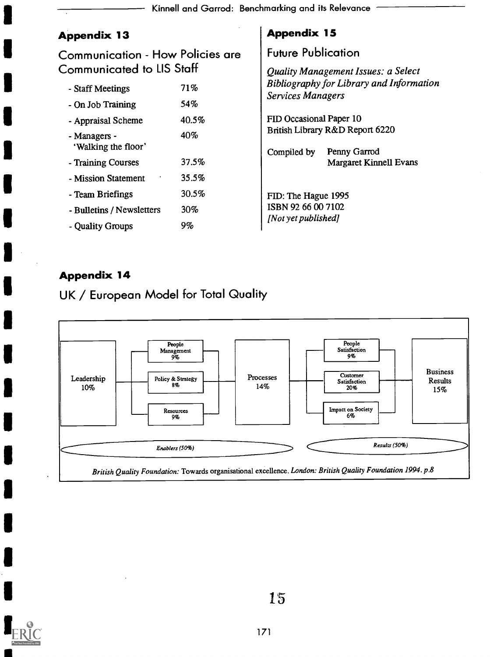| Kinnell and Garrod: Benchmarking and its Relevance —— |  |  |  |
|-------------------------------------------------------|--|--|--|
|-------------------------------------------------------|--|--|--|

## Appendix 13

# Communication - How Policies are Communicated to LIS Staff

| - Staff Meetings                    | 71%   | B<br>$S_{0}$ |
|-------------------------------------|-------|--------------|
| - On Job Training                   | 54%   |              |
| - Appraisal Scheme                  | 40.5% | F            |
| - Managers -<br>'Walking the floor' | 40%   | B<br>C       |
| - Training Courses                  | 37.5% |              |
| - Mission Statement                 | 35.5% |              |
| - Team Briefings                    | 30.5% | F            |
| - Bulletins / Newsletters           | 30%   | ĸ            |
| - Quality Groups                    | 9%    | П            |

## Appendix 15

Future Publication

Quality Management Issues: a Select Bibliography for Library and Information Services Managers

FID Occasional Paper 10 British Library R&D Report 6220

Compiled by Penny Garrod Margaret Kinnell Evans

FID: The Hague 1995 ISBN 92 66 00 7102 [Not yet published]

## Appendix 14

# UK / European Model for Total Quality



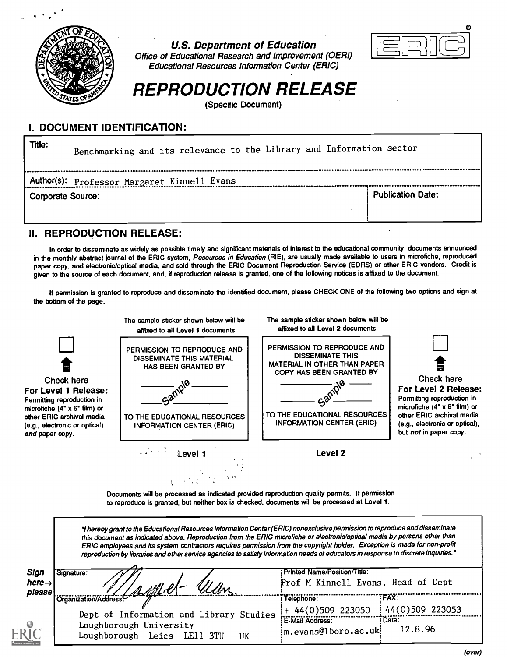

U.S. Department of Education



Office of Educational Research and Improvement (OERI) **Educational Resources Information Center (ERIC)** 

# REPRODUCTION RELEASE

(Specific Document)

#### I. DOCUMENT IDENTIFICATION:

| Title:            | Benchmarking and its relevance to the Library and Information sector |                          |
|-------------------|----------------------------------------------------------------------|--------------------------|
|                   | <b>Author(s):</b> Professor Margaret Kinnell Evans                   |                          |
| Corporate Source: |                                                                      | <b>Publication Date:</b> |

#### II. REPRODUCTION RELEASE:

In order to disseminate as widely as possible timely and significant materials of interest to the educational community, documents announced in the monthly abstract journal of the ERIC system, Resources in Education (RIE), are usually made available to users in microfiche, reproduced paper copy, and electronic/optical media, and sold through the ERIC Document Reproduction Service (EDRS) or other ERIC vendors. Credit is given to the source of each document, and, if reproduction release is granted, one of the following notices is affixed to the document.

If permission is granted to reproduce and disseminate the identified document, please CHECK ONE of the following two options and sign at the bottom of the page.



Documents will be processed as indicated provided reproduction quality permits. If permission to reproduce is granted, but neither box is checked, documents will be processed at Level 1.

| Signature:                                                         | Printed Name/Position/Title:      |                                                                                                                                                                                                                                                                                                                                                                                                                                                                                                                                                                                                             |
|--------------------------------------------------------------------|-----------------------------------|-------------------------------------------------------------------------------------------------------------------------------------------------------------------------------------------------------------------------------------------------------------------------------------------------------------------------------------------------------------------------------------------------------------------------------------------------------------------------------------------------------------------------------------------------------------------------------------------------------------|
| the Crganization/Address.                                          | Telephone:                        | FAX:                                                                                                                                                                                                                                                                                                                                                                                                                                                                                                                                                                                                        |
| Dept of Information and Library Studies<br>Loughborough University | $+44(0)509$ 223050                | 44(0)509 223053<br>: Date:<br>12.8.96                                                                                                                                                                                                                                                                                                                                                                                                                                                                                                                                                                       |
|                                                                    | Loughborough Leics LE11 3TU<br>UK | "I hereby grant to the Educational Resources Information Center (ERIC) nonexclusive permission to reproduce and disseminate<br>this document as indicated above. Reproduction from the ERIC microfiche or electronic/optical media by persons other than<br>ERIC employees and its system contractors requires permission from the copyright holder. Exception is made for non-profit<br>reproduction by libraries and other service agencies to satisfy information needs of educators in response to discrete inquiries."<br>Prof M Kinnell Evans, Head of Dept<br>E-Mail Address:<br>m.evans@1boro.ac.uk |